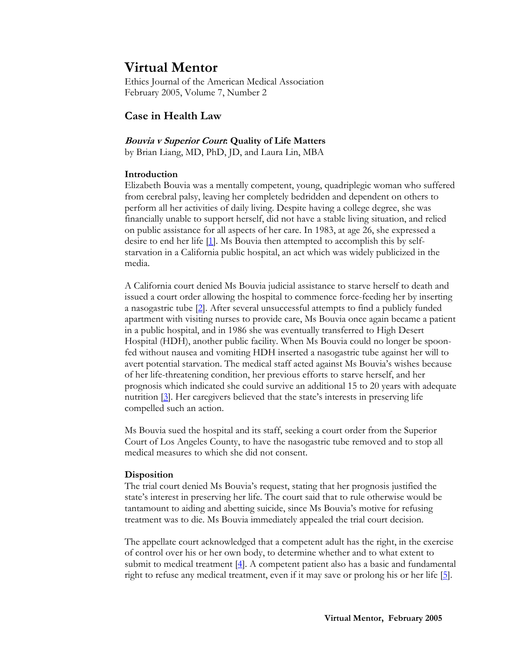**Virtual Mentor**<br>Ethics Journal of the American Medical Association February 2005, Volume 7, Number 2

# **Case in Health Law**

# **Bouvia v Superior Court: Quality of Life Matters**

by Brian Liang, MD, PhD, JD, and Laura Lin, MBA

# **Introduction**

Elizabeth Bouvia was a mentally competent, young, quadriplegic woman who suffered from cerebral palsy, leaving her completely bedridden and dependent on others to perform all her activities of daily living. Despite having a college degree, she was financially unable to support herself, did not have a stable living situation, and relied on public assistance for all aspects of her care. In 1983, at age 26, she expressed a desire to end her life [1]. Ms Bouvia then attempted to accomplish this by selfstarvation in a California public hospital, an act which was widely publicized in the media.

A California court denied Ms Bouvia judicial assistance to starve herself to death and issued a court order allowing the hospital to commence force-feeding her by inserting a nasogastric tube [2]. After several unsuccessful attempts to find a publicly funded apartment with visiting nurses to provide care, Ms Bouvia once again became a patient in a public hospital, and in 1986 she was eventually transferred to High Desert Hospital (HDH), another public facility. When Ms Bouvia could no longer be spoonfed without nausea and vomiting HDH inserted a nasogastric tube against her will to avert potential starvation. The medical staff acted against Ms Bouvia's wishes because of her life-threatening condition, her previous efforts to starve herself, and her prognosis which indicated she could survive an additional 15 to 20 years with adequate nutrition [3]. Her caregivers believed that the state's interests in preserving life compelled such an action.

Ms Bouvia sued the hospital and its staff, seeking a court order from the Superior Court of Los Angeles County, to have the nasogastric tube removed and to stop all medical measures to which she did not consent.

## **Disposition**

The trial court denied Ms Bouvia's request, stating that her prognosis justified the state's interest in preserving her life. The court said that to rule otherwise would be tantamount to aiding and abetting suicide, since Ms Bouvia's motive for refusing treatment was to die. Ms Bouvia immediately appealed the trial court decision.

The appellate court acknowledged that a competent adult has the right, in the exercise of control over his or her own body, to determine whether and to what extent to submit to medical treatment  $[4]$ . A competent patient also has a basic and fundamental right to refuse any medical treatment, even if it may save or prolong his or her life [5].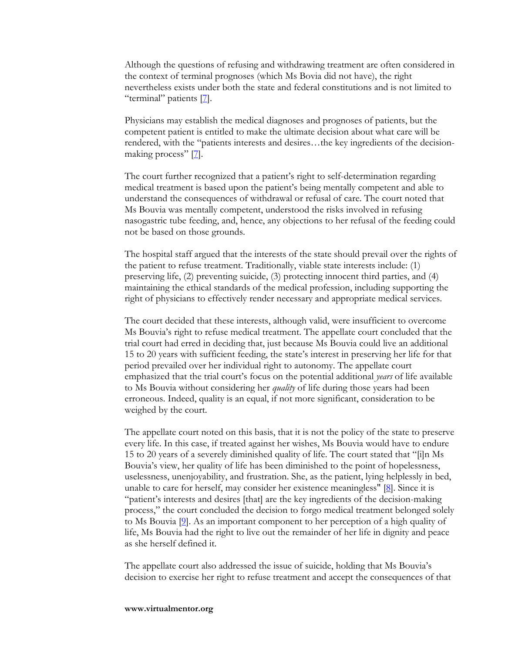Although the questions of refusing and withdrawing treatment are often considered in the context of terminal prognoses (which Ms Bovia did not have), the right nevertheless exists under both the state and federal constitutions and is not limited to "terminal" patients [7].

Physicians may establish the medical diagnoses and prognoses of patients, but the competent patient is entitled to make the ultimate decision about what care will be rendered, with the "patients interests and desires…the key ingredients of the decisionmaking process" [7].

The court further recognized that a patient's right to self-determination regarding medical treatment is based upon the patient's being mentally competent and able to understand the consequences of withdrawal or refusal of care. The court noted that Ms Bouvia was mentally competent, understood the risks involved in refusing nasogastric tube feeding, and, hence, any objections to her refusal of the feeding could not be based on those grounds.

The hospital staff argued that the interests of the state should prevail over the rights of the patient to refuse treatment. Traditionally, viable state interests include: (1) preserving life, (2) preventing suicide, (3) protecting innocent third parties, and (4) maintaining the ethical standards of the medical profession, including supporting the right of physicians to effectively render necessary and appropriate medical services.

The court decided that these interests, although valid, were insufficient to overcome Ms Bouvia's right to refuse medical treatment. The appellate court concluded that the trial court had erred in deciding that, just because Ms Bouvia could live an additional 15 to 20 years with sufficient feeding, the state's interest in preserving her life for that period prevailed over her individual right to autonomy. The appellate court emphasized that the trial court's focus on the potential additional *years* of life available to Ms Bouvia without considering her *quality* of life during those years had been erroneous. Indeed, quality is an equal, if not more significant, consideration to be weighed by the court.

The appellate court noted on this basis, that it is not the policy of the state to preserve every life. In this case, if treated against her wishes, Ms Bouvia would have to endure 15 to 20 years of a severely diminished quality of life. The court stated that "[i]n Ms Bouvia's view, her quality of life has been diminished to the point of hopelessness, uselessness, unenjoyability, and frustration. She, as the patient, lying helplessly in bed, unable to care for herself, may consider her existence meaningless" [8]. Since it is "patient's interests and desires [that] are the key ingredients of the decision-making process," the court concluded the decision to forgo medical treatment belonged solely to Ms Bouvia [9]. As an important component to her perception of a high quality of life, Ms Bouvia had the right to live out the remainder of her life in dignity and peace as she herself defined it.

The appellate court also addressed the issue of suicide, holding that Ms Bouvia's decision to exercise her right to refuse treatment and accept the consequences of that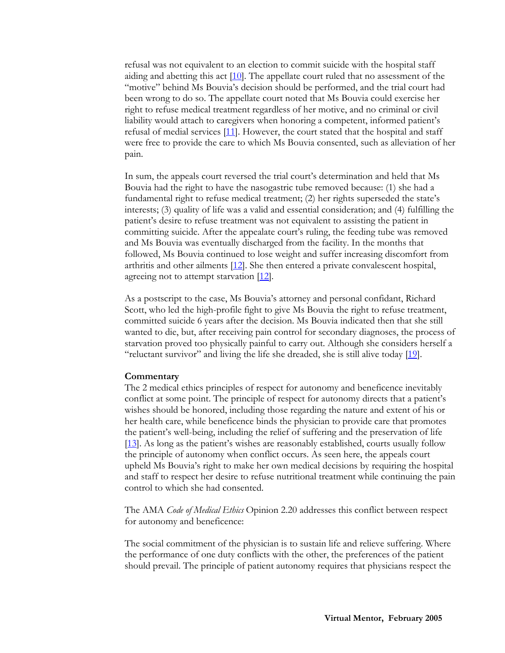refusal was not equivalent to an election to commit suicide with the hospital staff aiding and abetting this act  $[10]$ . The appellate court ruled that no assessment of the "motive" behind Ms Bouvia's decision should be performed, and the trial court had been wrong to do so. The appellate court noted that Ms Bouvia could exercise her right to refuse medical treatment regardless of her motive, and no criminal or civil liability would attach to caregivers when honoring a competent, informed patient's refusal of medial services [11]. However, the court stated that the hospital and staff were free to provide the care to which Ms Bouvia consented, such as alleviation of her pain.

In sum, the appeals court reversed the trial court's determination and held that Ms Bouvia had the right to have the nasogastric tube removed because: (1) she had a fundamental right to refuse medical treatment; (2) her rights superseded the state's interests; (3) quality of life was a valid and essential consideration; and (4) fulfilling the patient's desire to refuse treatment was not equivalent to assisting the patient in committing suicide. After the appealate court's ruling, the feeding tube was removed and Ms Bouvia was eventually discharged from the facility. In the months that followed, Ms Bouvia continued to lose weight and suffer increasing discomfort from arthritis and other ailments [12]. She then entered a private convalescent hospital, agreeing not to attempt starvation  $[12]$ .

As a postscript to the case, Ms Bouvia's attorney and personal confidant, Richard Scott, who led the high-profile fight to give Ms Bouvia the right to refuse treatment, committed suicide 6 years after the decision. Ms Bouvia indicated then that she still wanted to die, but, after receiving pain control for secondary diagnoses, the process of starvation proved too physically painful to carry out. Although she considers herself a "reluctant survivor" and living the life she dreaded, she is still alive today [19].

## **Commentary**

The 2 medical ethics principles of respect for autonomy and beneficence inevitably conflict at some point. The principle of respect for autonomy directs that a patient's wishes should be honored, including those regarding the nature and extent of his or her health care, while beneficence binds the physician to provide care that promotes the patient's well-being, including the relief of suffering and the preservation of life [13]. As long as the patient's wishes are reasonably established, courts usually follow the principle of autonomy when conflict occurs. As seen here, the appeals court upheld Ms Bouvia's right to make her own medical decisions by requiring the hospital and staff to respect her desire to refuse nutritional treatment while continuing the pain control to which she had consented.

The AMA *Code of Medical Ethics* Opinion 2.20 addresses this conflict between respect for autonomy and beneficence:

The social commitment of the physician is to sustain life and relieve suffering. Where the performance of one duty conflicts with the other, the preferences of the patient should prevail. The principle of patient autonomy requires that physicians respect the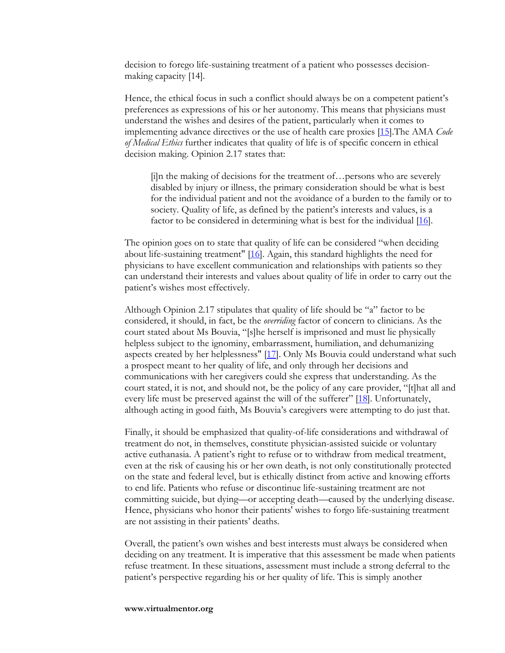decision to forego life-sustaining treatment of a patient who possesses decisionmaking capacity [14].

Hence, the ethical focus in such a conflict should always be on a competent patient's preferences as expressions of his or her autonomy. This means that physicians must understand the wishes and desires of the patient, particularly when it comes to implementing advance directives or the use of health care proxies [15].The AMA *Code of Medical Ethics* further indicates that quality of life is of specific concern in ethical decision making. Opinion 2.17 states that:

[i]n the making of decisions for the treatment of…persons who are severely disabled by injury or illness, the primary consideration should be what is best for the individual patient and not the avoidance of a burden to the family or to society. Quality of life, as defined by the patient's interests and values, is a factor to be considered in determining what is best for the individual [16].

The opinion goes on to state that quality of life can be considered "when deciding about life-sustaining treatment" [16]. Again, this standard highlights the need for physicians to have excellent communication and relationships with patients so they can understand their interests and values about quality of life in order to carry out the patient's wishes most effectively.

Although Opinion 2.17 stipulates that quality of life should be "a" factor to be considered, it should, in fact, be the *overriding* factor of concern to clinicians. As the court stated about Ms Bouvia, "[s]he herself is imprisoned and must lie physically helpless subject to the ignominy, embarrassment, humiliation, and dehumanizing aspects created by her helplessness" [17]. Only Ms Bouvia could understand what such a prospect meant to her quality of life, and only through her decisions and communications with her caregivers could she express that understanding. As the court stated, it is not, and should not, be the policy of any care provider, "[t]hat all and every life must be preserved against the will of the sufferer" [18]. Unfortunately, although acting in good faith, Ms Bouvia's caregivers were attempting to do just that.

Finally, it should be emphasized that quality-of-life considerations and withdrawal of treatment do not, in themselves, constitute physician-assisted suicide or voluntary active euthanasia. A patient's right to refuse or to withdraw from medical treatment, even at the risk of causing his or her own death, is not only constitutionally protected on the state and federal level, but is ethically distinct from active and knowing efforts to end life. Patients who refuse or discontinue life-sustaining treatment are not committing suicide, but dying—or accepting death—caused by the underlying disease. Hence, physicians who honor their patients' wishes to forgo life-sustaining treatment are not assisting in their patients' deaths.

Overall, the patient's own wishes and best interests must always be considered when deciding on any treatment. It is imperative that this assessment be made when patients refuse treatment. In these situations, assessment must include a strong deferral to the patient's perspective regarding his or her quality of life. This is simply another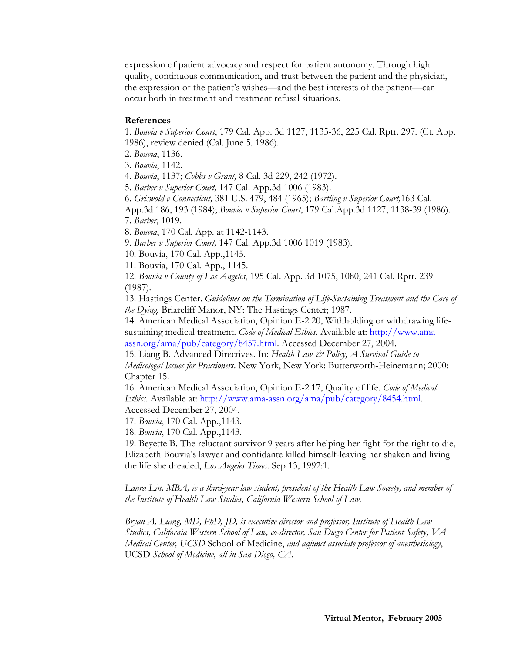expression of patient advocacy and respect for patient autonomy. Through high quality, continuous communication, and trust between the patient and the physician, the expression of the patient's wishes—and the best interests of the patient—can occur both in treatment and treatment refusal situations.

## **References**

1. *Bouvia v Superior Court*, 179 Cal. App. 3d 1127, 1135-36, 225 Cal. Rptr. 297. (Ct. App. 1986), review denied (Cal. June 5, 1986).

2. *Bouvia*, 1136.

3. *Bouvia*, 1142.

4. *Bouvia*, 1137; *Cobbs v Grant,* 8 Cal. 3d 229, 242 (1972).

5. *Barber v Superior Court,* 147 Cal. App.3d 1006 (1983).

6. *Griswold v Connecticut,* 381 U.S. 479, 484 (1965); *Bartling v Superior Court,*163 Cal.

App.3d 186, 193 (1984); *Bouvia v Superior Court*, 179 Cal.App.3d 1127, 1138-39 (1986). 7. *Barber*, 1019.

8. *Bouvia*, 170 Cal. App. at 1142-1143.

9. *Barber v Superior Court,* 147 Cal. App.3d 1006 1019 (1983).

10. Bouvia, 170 Cal. App.,1145.

11. Bouvia, 170 Cal. App., 1145.

12. *Bouvia v County of Los Angeles*, 195 Cal. App. 3d 1075, 1080, 241 Cal. Rptr. 239 (1987).

13. Hastings Center. *Guidelines on the Termination of Life-Sustaining Treatment and the Care of the Dying.* Briarcliff Manor, NY: The Hastings Center; 1987.

14. American Medical Association, Opinion E-2.20, Withholding or withdrawing lifesustaining medical treatment. *Code of Medical Ethics*. Available at: http://www.amaassn.org/ama/pub/category/8457.html. Accessed December 27, 2004.

15. Liang B. Advanced Directives. In: *Health Law & Policy, A Survival Guide to* 

*Medicolegal Issues for Practioners*. New York, New York: Butterworth-Heinemann; 2000: Chapter 15.

16. American Medical Association, Opinion E-2.17, Quality of life. *Code of Medical Ethics.* Available at: http://www.ama-assn.org/ama/pub/category/8454.html.

Accessed December 27, 2004.

17. *Bouvia*, 170 Cal. App.,1143.

18. *Bouvia*, 170 Cal. App.,1143.

19. Beyette B. The reluctant survivor 9 years after helping her fight for the right to die, Elizabeth Bouvia's lawyer and confidante killed himself-leaving her shaken and living the life she dreaded, *Los Angeles Times*. Sep 13, 1992:1.

*Laura Lin, MBA, is a third-year law student, president of the Health Law Society, and member of the Institute of Health Law Studies, California Western School of Law.*

*Bryan A. Liang, MD, PhD, JD, is executive director and professor, Institute of Health Law Studies, California Western School of Law, co-director, San Diego Center for Patient Safety, VA Medical Center, UCSD* School of Medicine, *and adjunct associate professor of anesthesiology*, UCSD *School of Medicine, all in San Diego, CA.*